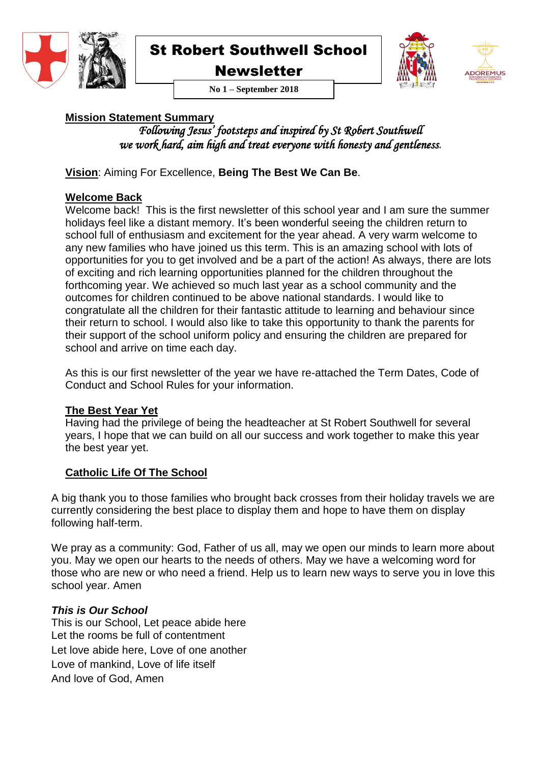

**Newsletter** 





**No 1 – September 2018**

#### **Mission Statement Summary**

*Following Jesus' footsteps and inspired by St Robert Southwell we work hard, aim high and treat everyone with honesty and gentleness.*

**Vision**: Aiming For Excellence, **Being The Best We Can Be**.

#### **Welcome Back**

Welcome back! This is the first newsletter of this school year and I am sure the summer holidays feel like a distant memory. It's been wonderful seeing the children return to school full of enthusiasm and excitement for the year ahead. A very warm welcome to any new families who have joined us this term. This is an amazing school with lots of opportunities for you to get involved and be a part of the action! As always, there are lots of exciting and rich learning opportunities planned for the children throughout the forthcoming year. We achieved so much last year as a school community and the outcomes for children continued to be above national standards. I would like to congratulate all the children for their fantastic attitude to learning and behaviour since their return to school. I would also like to take this opportunity to thank the parents for their support of the school uniform policy and ensuring the children are prepared for school and arrive on time each day.

As this is our first newsletter of the year we have re-attached the Term Dates, Code of Conduct and School Rules for your information.

#### **The Best Year Yet**

Having had the privilege of being the headteacher at St Robert Southwell for several years, I hope that we can build on all our success and work together to make this year the best year yet.

#### **Catholic Life Of The School**

A big thank you to those families who brought back crosses from their holiday travels we are currently considering the best place to display them and hope to have them on display following half-term.

We pray as a community: God, Father of us all, may we open our minds to learn more about you. May we open our hearts to the needs of others. May we have a welcoming word for those who are new or who need a friend. Help us to learn new ways to serve you in love this school year. Amen

#### *This is Our School*

This is our School, Let peace abide here Let the rooms be full of contentment Let love abide here, Love of one another Love of mankind, Love of life itself And love of God, Amen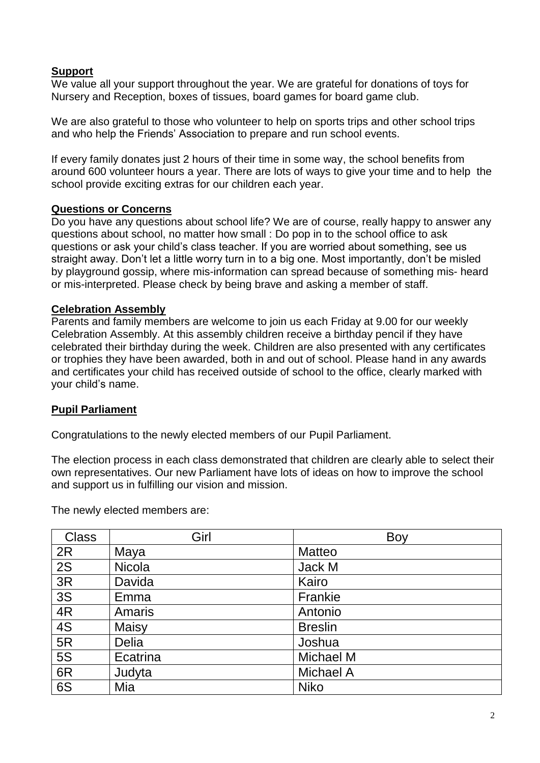#### **Support**

We value all your support throughout the year. We are grateful for donations of toys for Nursery and Reception, boxes of tissues, board games for board game club.

We are also grateful to those who volunteer to help on sports trips and other school trips and who help the Friends' Association to prepare and run school events.

If every family donates just 2 hours of their time in some way, the school benefits from around 600 volunteer hours a year. There are lots of ways to give your time and to help the school provide exciting extras for our children each year.

#### **Questions or Concerns**

Do you have any questions about school life? We are of course, really happy to answer any questions about school, no matter how small : Do pop in to the school office to ask questions or ask your child's class teacher. If you are worried about something, see us straight away. Don't let a little worry turn in to a big one. Most importantly, don't be misled by playground gossip, where mis-information can spread because of something mis- heard or mis-interpreted. Please check by being brave and asking a member of staff.

#### **Celebration Assembly**

Parents and family members are welcome to join us each Friday at 9.00 for our weekly Celebration Assembly. At this assembly children receive a birthday pencil if they have celebrated their birthday during the week. Children are also presented with any certificates or trophies they have been awarded, both in and out of school. Please hand in any awards and certificates your child has received outside of school to the office, clearly marked with your child's name.

#### **Pupil Parliament**

Congratulations to the newly elected members of our Pupil Parliament.

The election process in each class demonstrated that children are clearly able to select their own representatives. Our new Parliament have lots of ideas on how to improve the school and support us in fulfilling our vision and mission.

The newly elected members are:

| <b>Class</b> | Girl          | Boy              |
|--------------|---------------|------------------|
| 2R           | Maya          | <b>Matteo</b>    |
| 2S           | <b>Nicola</b> | Jack M           |
| 3R           | Davida        | Kairo            |
| 3S           | Emma          | Frankie          |
| 4R           | Amaris        | Antonio          |
| 4S           | Maisy         | <b>Breslin</b>   |
| 5R           | Delia         | Joshua           |
| <b>5S</b>    | Ecatrina      | <b>Michael M</b> |
| 6R           | Judyta        | <b>Michael A</b> |
| 6S           | Mia           | <b>Niko</b>      |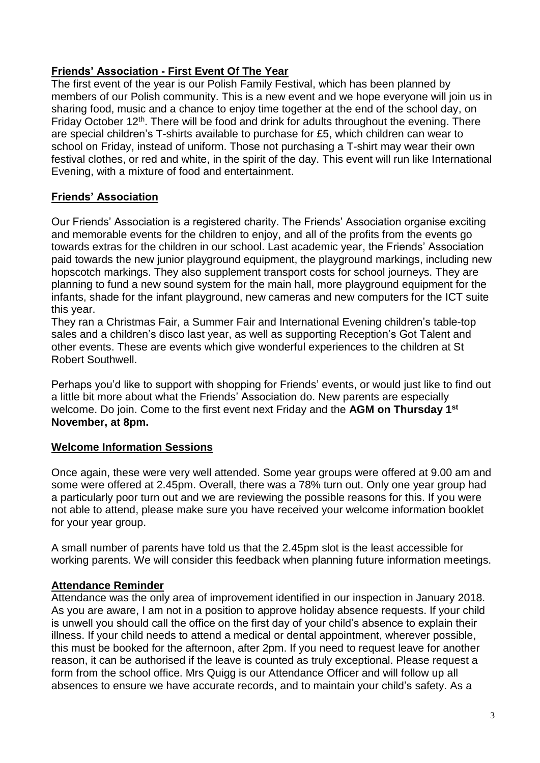#### **Friends' Association - First Event Of The Year**

The first event of the year is our Polish Family Festival, which has been planned by members of our Polish community. This is a new event and we hope everyone will join us in sharing food, music and a chance to enjoy time together at the end of the school day, on Friday October  $12<sup>th</sup>$ . There will be food and drink for adults throughout the evening. There are special children's T-shirts available to purchase for £5, which children can wear to school on Friday, instead of uniform. Those not purchasing a T-shirt may wear their own festival clothes, or red and white, in the spirit of the day. This event will run like International Evening, with a mixture of food and entertainment.

#### **Friends' Association**

Our Friends' Association is a registered charity. The Friends' Association organise exciting and memorable events for the children to enjoy, and all of the profits from the events go towards extras for the children in our school. Last academic year, the Friends' Association paid towards the new junior playground equipment, the playground markings, including new hopscotch markings. They also supplement transport costs for school journeys. They are planning to fund a new sound system for the main hall, more playground equipment for the infants, shade for the infant playground, new cameras and new computers for the ICT suite this year.

They ran a Christmas Fair, a Summer Fair and International Evening children's table-top sales and a children's disco last year, as well as supporting Reception's Got Talent and other events. These are events which give wonderful experiences to the children at St Robert Southwell.

Perhaps you'd like to support with shopping for Friends' events, or would just like to find out a little bit more about what the Friends' Association do. New parents are especially welcome. Do join. Come to the first event next Friday and the **AGM on Thursday 1st November, at 8pm.**

#### **Welcome Information Sessions**

Once again, these were very well attended. Some year groups were offered at 9.00 am and some were offered at 2.45pm. Overall, there was a 78% turn out. Only one year group had a particularly poor turn out and we are reviewing the possible reasons for this. If you were not able to attend, please make sure you have received your welcome information booklet for your year group.

A small number of parents have told us that the 2.45pm slot is the least accessible for working parents. We will consider this feedback when planning future information meetings.

#### **Attendance Reminder**

Attendance was the only area of improvement identified in our inspection in January 2018. As you are aware, I am not in a position to approve holiday absence requests. If your child is unwell you should call the office on the first day of your child's absence to explain their illness. If your child needs to attend a medical or dental appointment, wherever possible, this must be booked for the afternoon, after 2pm. If you need to request leave for another reason, it can be authorised if the leave is counted as truly exceptional. Please request a form from the school office. Mrs Quigg is our Attendance Officer and will follow up all absences to ensure we have accurate records, and to maintain your child's safety. As a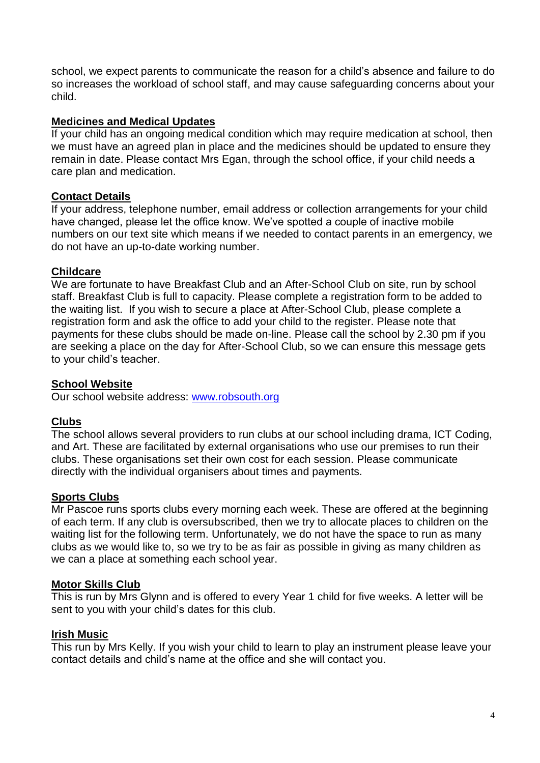school, we expect parents to communicate the reason for a child's absence and failure to do so increases the workload of school staff, and may cause safeguarding concerns about your child.

#### **Medicines and Medical Updates**

If your child has an ongoing medical condition which may require medication at school, then we must have an agreed plan in place and the medicines should be updated to ensure they remain in date. Please contact Mrs Egan, through the school office, if your child needs a care plan and medication.

#### **Contact Details**

If your address, telephone number, email address or collection arrangements for your child have changed, please let the office know. We've spotted a couple of inactive mobile numbers on our text site which means if we needed to contact parents in an emergency, we do not have an up-to-date working number.

#### **Childcare**

We are fortunate to have Breakfast Club and an After-School Club on site, run by school staff. Breakfast Club is full to capacity. Please complete a registration form to be added to the waiting list. If you wish to secure a place at After-School Club, please complete a registration form and ask the office to add your child to the register. Please note that payments for these clubs should be made on-line. Please call the school by 2.30 pm if you are seeking a place on the day for After-School Club, so we can ensure this message gets to your child's teacher.

#### **School Website**

Our school website address: [www.robsouth.org](http://www.robsouth.org/)

#### **Clubs**

The school allows several providers to run clubs at our school including drama, ICT Coding, and Art. These are facilitated by external organisations who use our premises to run their clubs. These organisations set their own cost for each session. Please communicate directly with the individual organisers about times and payments.

#### **Sports Clubs**

Mr Pascoe runs sports clubs every morning each week. These are offered at the beginning of each term. If any club is oversubscribed, then we try to allocate places to children on the waiting list for the following term. Unfortunately, we do not have the space to run as many clubs as we would like to, so we try to be as fair as possible in giving as many children as we can a place at something each school year.

#### **Motor Skills Club**

This is run by Mrs Glynn and is offered to every Year 1 child for five weeks. A letter will be sent to you with your child's dates for this club.

#### **Irish Music**

This run by Mrs Kelly. If you wish your child to learn to play an instrument please leave your contact details and child's name at the office and she will contact you.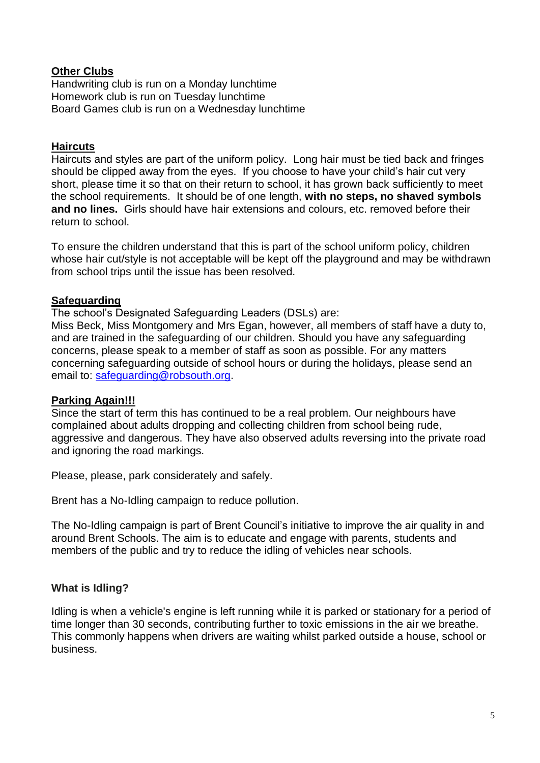#### **Other Clubs**

Handwriting club is run on a Monday lunchtime Homework club is run on Tuesday lunchtime Board Games club is run on a Wednesday lunchtime

#### **Haircuts**

Haircuts and styles are part of the uniform policy. Long hair must be tied back and fringes should be clipped away from the eyes. If you choose to have your child's hair cut very short, please time it so that on their return to school, it has grown back sufficiently to meet the school requirements. It should be of one length, **with no steps, no shaved symbols and no lines.** Girls should have hair extensions and colours, etc. removed before their return to school.

To ensure the children understand that this is part of the school uniform policy, children whose hair cut/style is not acceptable will be kept off the playground and may be withdrawn from school trips until the issue has been resolved.

#### **Safeguarding**

The school's Designated Safeguarding Leaders (DSLs) are:

Miss Beck, Miss Montgomery and Mrs Egan, however, all members of staff have a duty to, and are trained in the safeguarding of our children. Should you have any safeguarding concerns, please speak to a member of staff as soon as possible. For any matters concerning safeguarding outside of school hours or during the holidays, please send an email to: [safeguarding@robsouth.org.](mailto:safeguarding@robsouth.org)

#### **Parking Again!!!**

Since the start of term this has continued to be a real problem. Our neighbours have complained about adults dropping and collecting children from school being rude, aggressive and dangerous. They have also observed adults reversing into the private road and ignoring the road markings.

Please, please, park considerately and safely.

Brent has a No-Idling campaign to reduce pollution.

The No-Idling campaign is part of Brent Council's initiative to improve the air quality in and around Brent Schools. The aim is to educate and engage with parents, students and members of the public and try to reduce the idling of vehicles near schools.

#### **What is Idling?**

Idling is when a vehicle's engine is left running while it is parked or stationary for a period of time longer than 30 seconds, contributing further to toxic emissions in the air we breathe. This commonly happens when drivers are waiting whilst parked outside a house, school or business.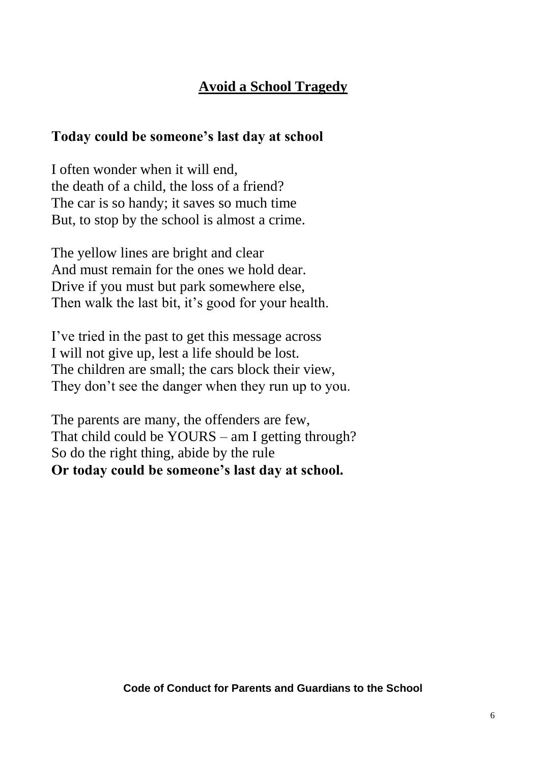#### **Avoid a School Tragedy**

#### **Today could be someone's last day at school**

I often wonder when it will end, the death of a child, the loss of a friend? The car is so handy; it saves so much time But, to stop by the school is almost a crime.

The yellow lines are bright and clear And must remain for the ones we hold dear. Drive if you must but park somewhere else, Then walk the last bit, it's good for your health.

I've tried in the past to get this message across I will not give up, lest a life should be lost. The children are small; the cars block their view, They don't see the danger when they run up to you.

The parents are many, the offenders are few, That child could be YOURS – am I getting through? So do the right thing, abide by the rule **Or today could be someone's last day at school.**

**Code of Conduct for Parents and Guardians to the School**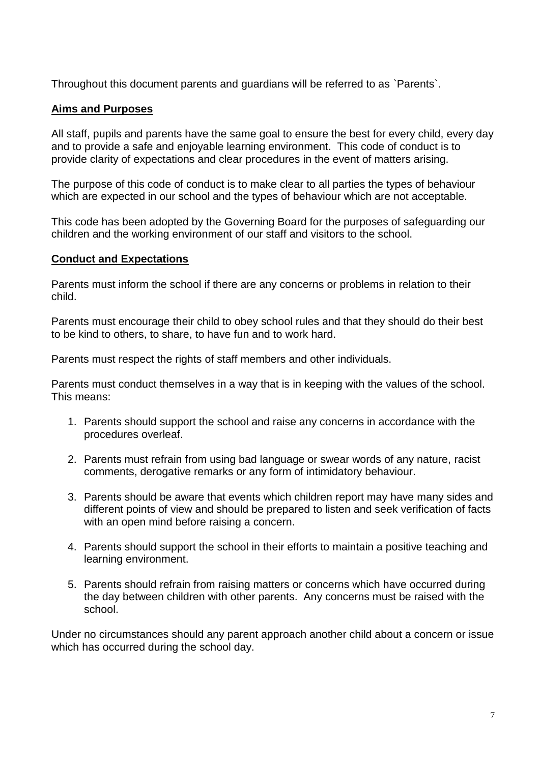Throughout this document parents and guardians will be referred to as `Parents`.

#### **Aims and Purposes**

All staff, pupils and parents have the same goal to ensure the best for every child, every day and to provide a safe and enjoyable learning environment. This code of conduct is to provide clarity of expectations and clear procedures in the event of matters arising.

The purpose of this code of conduct is to make clear to all parties the types of behaviour which are expected in our school and the types of behaviour which are not acceptable.

This code has been adopted by the Governing Board for the purposes of safeguarding our children and the working environment of our staff and visitors to the school.

#### **Conduct and Expectations**

Parents must inform the school if there are any concerns or problems in relation to their child.

Parents must encourage their child to obey school rules and that they should do their best to be kind to others, to share, to have fun and to work hard.

Parents must respect the rights of staff members and other individuals.

Parents must conduct themselves in a way that is in keeping with the values of the school. This means:

- 1. Parents should support the school and raise any concerns in accordance with the procedures overleaf.
- 2. Parents must refrain from using bad language or swear words of any nature, racist comments, derogative remarks or any form of intimidatory behaviour.
- 3. Parents should be aware that events which children report may have many sides and different points of view and should be prepared to listen and seek verification of facts with an open mind before raising a concern.
- 4. Parents should support the school in their efforts to maintain a positive teaching and learning environment.
- 5. Parents should refrain from raising matters or concerns which have occurred during the day between children with other parents. Any concerns must be raised with the school.

Under no circumstances should any parent approach another child about a concern or issue which has occurred during the school day.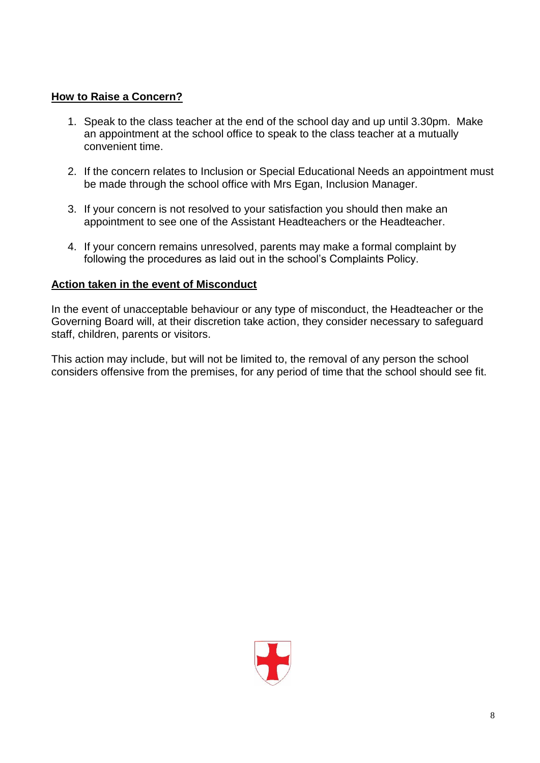#### **How to Raise a Concern?**

- 1. Speak to the class teacher at the end of the school day and up until 3.30pm. Make an appointment at the school office to speak to the class teacher at a mutually convenient time.
- 2. If the concern relates to Inclusion or Special Educational Needs an appointment must be made through the school office with Mrs Egan, Inclusion Manager.
- 3. If your concern is not resolved to your satisfaction you should then make an appointment to see one of the Assistant Headteachers or the Headteacher.
- 4. If your concern remains unresolved, parents may make a formal complaint by following the procedures as laid out in the school's Complaints Policy.

#### **Action taken in the event of Misconduct**

In the event of unacceptable behaviour or any type of misconduct, the Headteacher or the Governing Board will, at their discretion take action, they consider necessary to safeguard staff, children, parents or visitors.

This action may include, but will not be limited to, the removal of any person the school considers offensive from the premises, for any period of time that the school should see fit.

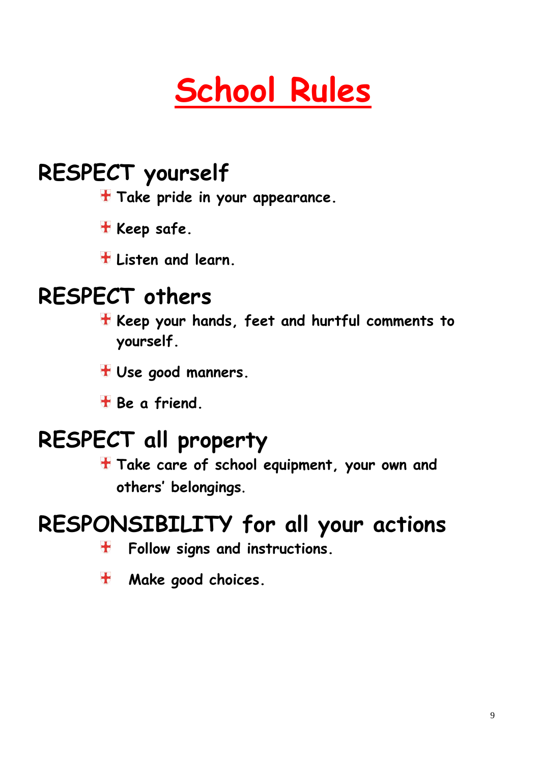# **School Rules**

# **RESPECT yourself**

- **Take pride in your appearance.**
- **H** Keep safe.
- **Listen and learn.**

### **RESPECT others**

- **Keep your hands, feet and hurtful comments to yourself.**
- **Use good manners.**
- **Be a friend.**

## **RESPECT all property**

**Take care of school equipment, your own and others' belongings**.

### **RESPONSIBILITY for all your actions**

- **Follow signs and instructions.**  $\bigstar$
- **Make good choices.** $\mathbf{H}$